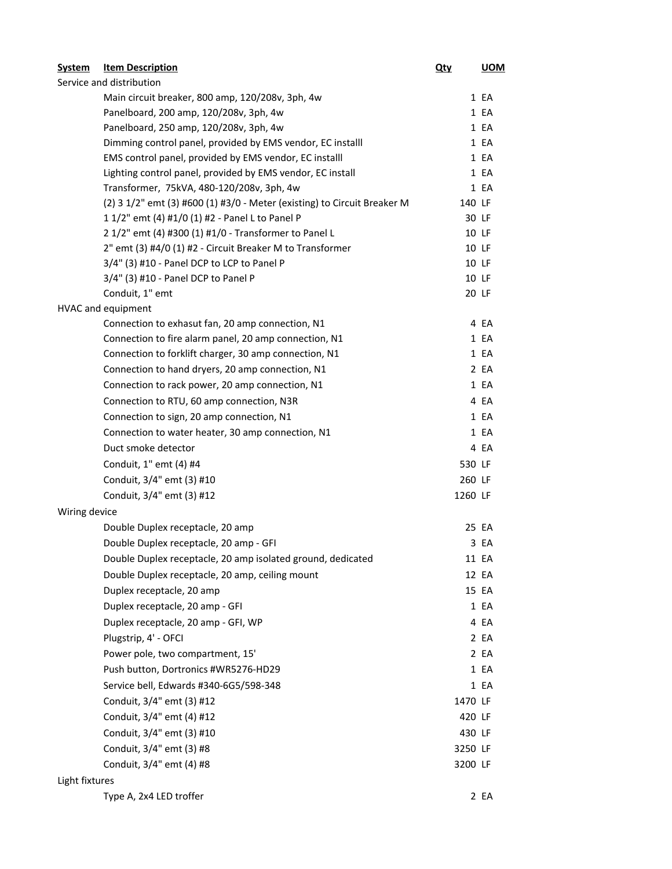| <b>System</b>            | <b>Item Description</b>                                                  | <u>Qty</u> | <b>UOM</b> |  |  |  |
|--------------------------|--------------------------------------------------------------------------|------------|------------|--|--|--|
| Service and distribution |                                                                          |            |            |  |  |  |
|                          | Main circuit breaker, 800 amp, 120/208v, 3ph, 4w                         |            | 1 EA       |  |  |  |
|                          | Panelboard, 200 amp, 120/208v, 3ph, 4w                                   |            | 1 EA       |  |  |  |
|                          | Panelboard, 250 amp, 120/208v, 3ph, 4w                                   |            | 1 EA       |  |  |  |
|                          | Dimming control panel, provided by EMS vendor, EC installl               |            | 1 EA       |  |  |  |
|                          | EMS control panel, provided by EMS vendor, EC installl                   |            | 1 EA       |  |  |  |
|                          | Lighting control panel, provided by EMS vendor, EC install               |            | 1 EA       |  |  |  |
|                          | Transformer, 75kVA, 480-120/208v, 3ph, 4w                                |            | 1 EA       |  |  |  |
|                          | (2) 3 1/2" emt (3) #600 (1) #3/0 - Meter (existing) to Circuit Breaker M | 140 LF     |            |  |  |  |
|                          | 1 1/2" emt (4) #1/0 (1) #2 - Panel L to Panel P                          |            | 30 LF      |  |  |  |
|                          | 2 1/2" emt (4) #300 (1) #1/0 - Transformer to Panel L                    |            | 10 LF      |  |  |  |
|                          | 2" emt (3) #4/0 (1) #2 - Circuit Breaker M to Transformer                |            | 10 LF      |  |  |  |
|                          | 3/4" (3) #10 - Panel DCP to LCP to Panel P                               |            | 10 LF      |  |  |  |
|                          | 3/4" (3) #10 - Panel DCP to Panel P                                      |            | 10 LF      |  |  |  |
|                          | Conduit, 1" emt                                                          |            | 20 LF      |  |  |  |
|                          | HVAC and equipment                                                       |            |            |  |  |  |
|                          | Connection to exhasut fan, 20 amp connection, N1                         |            | 4 EA       |  |  |  |
|                          | Connection to fire alarm panel, 20 amp connection, N1                    |            | 1 EA       |  |  |  |
|                          | Connection to forklift charger, 30 amp connection, N1                    |            | 1 EA       |  |  |  |
|                          | Connection to hand dryers, 20 amp connection, N1                         |            | 2 EA       |  |  |  |
|                          | Connection to rack power, 20 amp connection, N1                          |            | 1 EA       |  |  |  |
|                          | Connection to RTU, 60 amp connection, N3R                                |            | 4 EA       |  |  |  |
|                          | Connection to sign, 20 amp connection, N1                                |            | 1 EA       |  |  |  |
|                          | Connection to water heater, 30 amp connection, N1                        |            | 1 EA       |  |  |  |
|                          | Duct smoke detector                                                      |            | 4 EA       |  |  |  |
|                          | Conduit, 1" emt (4) #4                                                   | 530 LF     |            |  |  |  |
|                          | Conduit, 3/4" emt (3) #10                                                | 260 LF     |            |  |  |  |
|                          | Conduit, 3/4" emt (3) #12                                                | 1260 LF    |            |  |  |  |
| Wiring device            |                                                                          |            |            |  |  |  |
|                          | Double Duplex receptacle, 20 amp                                         |            | 25 EA      |  |  |  |
|                          | Double Duplex receptacle, 20 amp - GFI                                   |            | 3 EA       |  |  |  |
|                          | Double Duplex receptacle, 20 amp isolated ground, dedicated              |            | 11 EA      |  |  |  |
|                          | Double Duplex receptacle, 20 amp, ceiling mount                          |            | 12 EA      |  |  |  |
|                          | Duplex receptacle, 20 amp                                                |            | 15 EA      |  |  |  |
|                          | Duplex receptacle, 20 amp - GFI                                          |            | 1 EA       |  |  |  |
|                          | Duplex receptacle, 20 amp - GFI, WP                                      |            | 4 EA       |  |  |  |
|                          | Plugstrip, 4' - OFCI                                                     |            | 2 EA       |  |  |  |
|                          | Power pole, two compartment, 15'                                         |            | 2 EA       |  |  |  |
|                          | Push button, Dortronics #WR5276-HD29                                     |            | 1 EA       |  |  |  |
|                          | Service bell, Edwards #340-6G5/598-348                                   |            | 1 EA       |  |  |  |
|                          | Conduit, 3/4" emt (3) #12                                                | 1470 LF    |            |  |  |  |
|                          | Conduit, 3/4" emt (4) #12                                                | 420 LF     |            |  |  |  |
|                          | Conduit, 3/4" emt (3) #10                                                | 430 LF     |            |  |  |  |
|                          | Conduit, 3/4" emt (3) #8                                                 | 3250 LF    |            |  |  |  |
|                          | Conduit, 3/4" emt (4) #8                                                 | 3200 LF    |            |  |  |  |
| Light fixtures           |                                                                          |            |            |  |  |  |
|                          | Type A, 2x4 LED troffer                                                  |            | 2 EA       |  |  |  |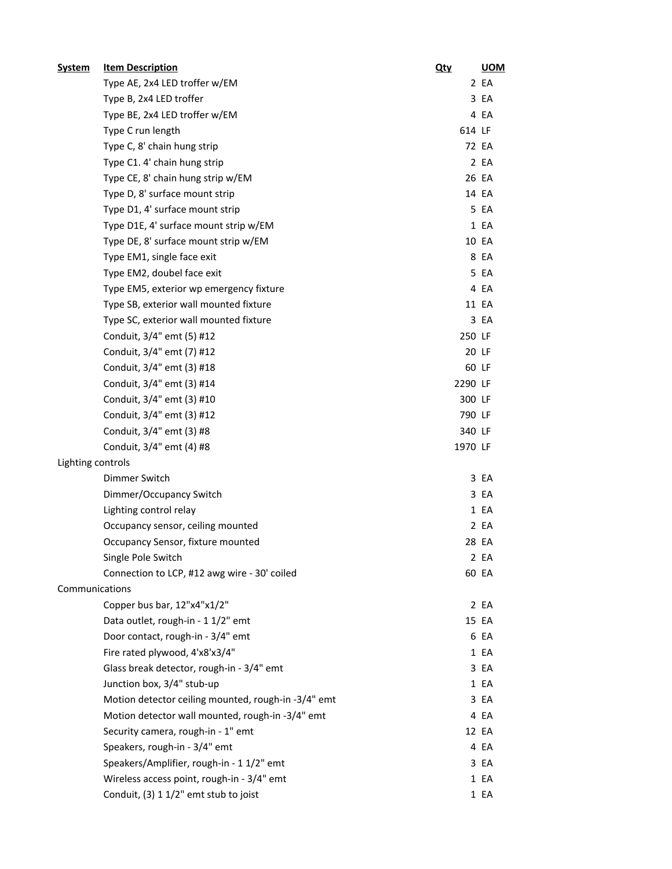| <b>System</b>     | <b>Item Description</b>                             | <u>Qty</u> | <b>UOM</b> |
|-------------------|-----------------------------------------------------|------------|------------|
|                   | Type AE, 2x4 LED troffer w/EM                       |            | 2 EA       |
|                   | Type B, 2x4 LED troffer                             |            | 3 EA       |
|                   | Type BE, 2x4 LED troffer w/EM                       |            | 4 EA       |
|                   | Type C run length                                   | 614 LF     |            |
|                   | Type C, 8' chain hung strip                         |            | 72 EA      |
|                   | Type C1. 4' chain hung strip                        |            | 2 EA       |
|                   | Type CE, 8' chain hung strip w/EM                   |            | 26 EA      |
|                   | Type D, 8' surface mount strip                      |            | 14 EA      |
|                   | Type D1, 4' surface mount strip                     |            | 5 EA       |
|                   | Type D1E, 4' surface mount strip w/EM               |            | 1 EA       |
|                   | Type DE, 8' surface mount strip w/EM                |            | 10 EA      |
|                   | Type EM1, single face exit                          |            | 8 EA       |
|                   | Type EM2, doubel face exit                          |            | 5 EA       |
|                   | Type EM5, exterior wp emergency fixture             |            | 4 EA       |
|                   | Type SB, exterior wall mounted fixture              |            | 11 EA      |
|                   | Type SC, exterior wall mounted fixture              |            | 3 EA       |
|                   | Conduit, 3/4" emt (5) #12                           | 250 LF     |            |
|                   | Conduit, 3/4" emt (7) #12                           |            | 20 LF      |
|                   | Conduit, 3/4" emt (3) #18                           |            | 60 LF      |
|                   | Conduit, 3/4" emt (3) #14                           | 2290 LF    |            |
|                   | Conduit, 3/4" emt (3) #10                           | 300 LF     |            |
|                   | Conduit, 3/4" emt (3) #12                           | 790 LF     |            |
|                   | Conduit, 3/4" emt (3) #8                            | 340 LF     |            |
|                   | Conduit, 3/4" emt (4) #8                            | 1970 LF    |            |
| Lighting controls |                                                     |            |            |
|                   | Dimmer Switch                                       |            | 3 EA       |
|                   | Dimmer/Occupancy Switch                             |            | 3 EA       |
|                   | Lighting control relay                              |            | 1 EA       |
|                   | Occupancy sensor, ceiling mounted                   |            | 2 EA       |
|                   | Occupancy Sensor, fixture mounted                   |            | 28 EA      |
|                   | Single Pole Switch                                  |            | 2 EA       |
|                   | Connection to LCP, #12 awg wire - 30' coiled        |            | 60 EA      |
| Communications    |                                                     |            |            |
|                   | Copper bus bar, 12"x4"x1/2"                         |            | 2 EA       |
|                   | Data outlet, rough-in - 1 1/2" emt                  |            | 15 EA      |
|                   | Door contact, rough-in - 3/4" emt                   |            | 6 EA       |
|                   | Fire rated plywood, 4'x8'x3/4"                      |            | 1 EA       |
|                   | Glass break detector, rough-in - 3/4" emt           |            | 3 EA       |
|                   | Junction box, 3/4" stub-up                          |            | 1 EA       |
|                   | Motion detector ceiling mounted, rough-in -3/4" emt |            | 3 EA       |
|                   | Motion detector wall mounted, rough-in -3/4" emt    |            | 4 EA       |
|                   | Security camera, rough-in - 1" emt                  |            | 12 EA      |
|                   | Speakers, rough-in - 3/4" emt                       |            | 4 EA       |
|                   | Speakers/Amplifier, rough-in - 1 1/2" emt           |            | 3 EA       |
|                   | Wireless access point, rough-in - 3/4" emt          |            | 1 EA       |
|                   | Conduit, (3) 1 1/2" emt stub to joist               |            | 1 EA       |